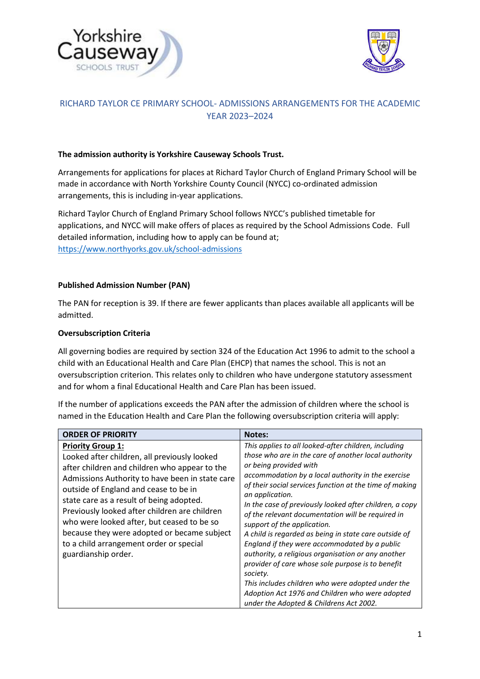



# RICHARD TAYLOR CE PRIMARY SCHOOL- ADMISSIONS ARRANGEMENTS FOR THE ACADEMIC YEAR 2023–2024

#### **The admission authority is Yorkshire Causeway Schools Trust.**

Arrangements for applications for places at Richard Taylor Church of England Primary School will be made in accordance with North Yorkshire County Council (NYCC) co-ordinated admission arrangements, this is including in-year applications.

Richard Taylor Church of England Primary School follows NYCC's published timetable for applications, and NYCC will make offers of places as required by the School Admissions Code. Full detailed information, including how to apply can be found at; <https://www.northyorks.gov.uk/school-admissions>

#### **Published Admission Number (PAN)**

The PAN for reception is 39. If there are fewer applicants than places available all applicants will be admitted.

#### **Oversubscription Criteria**

All governing bodies are required by section 324 of the Education Act 1996 to admit to the school a child with an Educational Health and Care Plan (EHCP) that names the school. This is not an oversubscription criterion. This relates only to children who have undergone statutory assessment and for whom a final Educational Health and Care Plan has been issued.

If the number of applications exceeds the PAN after the admission of children where the school is named in the Education Health and Care Plan the following oversubscription criteria will apply:

| <b>ORDER OF PRIORITY</b>                                                                                                                                                                                                                                                                                                                                                                                                                                                          | <b>Notes:</b>                                                                                                                                                                                                                                                                                                                                                                                                                                                                                                                                                                                                                                                                                                                                                                                                 |
|-----------------------------------------------------------------------------------------------------------------------------------------------------------------------------------------------------------------------------------------------------------------------------------------------------------------------------------------------------------------------------------------------------------------------------------------------------------------------------------|---------------------------------------------------------------------------------------------------------------------------------------------------------------------------------------------------------------------------------------------------------------------------------------------------------------------------------------------------------------------------------------------------------------------------------------------------------------------------------------------------------------------------------------------------------------------------------------------------------------------------------------------------------------------------------------------------------------------------------------------------------------------------------------------------------------|
| <b>Priority Group 1:</b><br>Looked after children, all previously looked<br>after children and children who appear to the<br>Admissions Authority to have been in state care<br>outside of England and cease to be in<br>state care as a result of being adopted.<br>Previously looked after children are children<br>who were looked after, but ceased to be so<br>because they were adopted or became subject<br>to a child arrangement order or special<br>guardianship order. | This applies to all looked-after children, including<br>those who are in the care of another local authority<br>or being provided with<br>accommodation by a local authority in the exercise<br>of their social services function at the time of making<br>an application.<br>In the case of previously looked after children, a copy<br>of the relevant documentation will be required in<br>support of the application.<br>A child is regarded as being in state care outside of<br>England if they were accommodated by a public<br>authority, a religious organisation or any another<br>provider of care whose sole purpose is to benefit<br>society.<br>This includes children who were adopted under the<br>Adoption Act 1976 and Children who were adopted<br>under the Adopted & Childrens Act 2002. |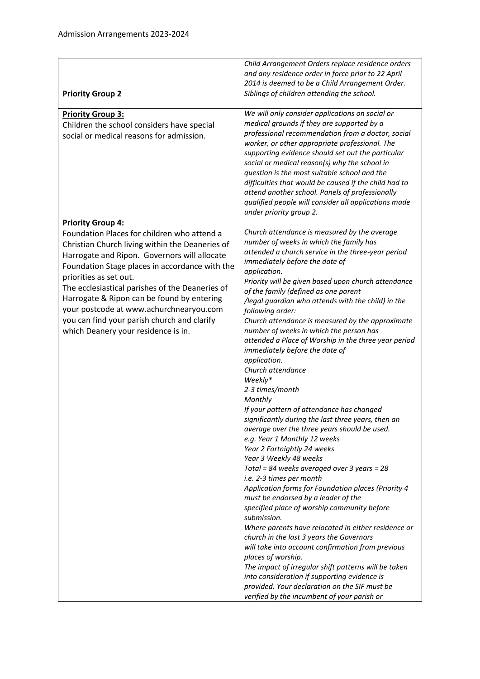|                                                                                                                                                                                                                                                                                                                                                                                                                                                                                          | Child Arrangement Orders replace residence orders<br>and any residence order in force prior to 22 April                                                                                                                                                                                                                                                                                                                                                                                                                                                                                                                                                                                                                                                                                                                                                                                                                                                                                                                                                                                                                                                                                                                                                                                                                                                                                                                                                                                                                  |
|------------------------------------------------------------------------------------------------------------------------------------------------------------------------------------------------------------------------------------------------------------------------------------------------------------------------------------------------------------------------------------------------------------------------------------------------------------------------------------------|--------------------------------------------------------------------------------------------------------------------------------------------------------------------------------------------------------------------------------------------------------------------------------------------------------------------------------------------------------------------------------------------------------------------------------------------------------------------------------------------------------------------------------------------------------------------------------------------------------------------------------------------------------------------------------------------------------------------------------------------------------------------------------------------------------------------------------------------------------------------------------------------------------------------------------------------------------------------------------------------------------------------------------------------------------------------------------------------------------------------------------------------------------------------------------------------------------------------------------------------------------------------------------------------------------------------------------------------------------------------------------------------------------------------------------------------------------------------------------------------------------------------------|
| <b>Priority Group 2</b>                                                                                                                                                                                                                                                                                                                                                                                                                                                                  | 2014 is deemed to be a Child Arrangement Order.<br>Siblings of children attending the school.                                                                                                                                                                                                                                                                                                                                                                                                                                                                                                                                                                                                                                                                                                                                                                                                                                                                                                                                                                                                                                                                                                                                                                                                                                                                                                                                                                                                                            |
| <b>Priority Group 3:</b><br>Children the school considers have special<br>social or medical reasons for admission.                                                                                                                                                                                                                                                                                                                                                                       | We will only consider applications on social or<br>medical grounds if they are supported by a<br>professional recommendation from a doctor, social<br>worker, or other appropriate professional. The<br>supporting evidence should set out the particular<br>social or medical reason(s) why the school in<br>question is the most suitable school and the<br>difficulties that would be caused if the child had to<br>attend another school. Panels of professionally<br>qualified people will consider all applications made<br>under priority group 2.                                                                                                                                                                                                                                                                                                                                                                                                                                                                                                                                                                                                                                                                                                                                                                                                                                                                                                                                                                |
| <b>Priority Group 4:</b><br>Foundation Places for children who attend a<br>Christian Church living within the Deaneries of<br>Harrogate and Ripon. Governors will allocate<br>Foundation Stage places in accordance with the<br>priorities as set out.<br>The ecclesiastical parishes of the Deaneries of<br>Harrogate & Ripon can be found by entering<br>your postcode at www.achurchnearyou.com<br>you can find your parish church and clarify<br>which Deanery your residence is in. | Church attendance is measured by the average<br>number of weeks in which the family has<br>attended a church service in the three-year period<br>immediately before the date of<br>application.<br>Priority will be given based upon church attendance<br>of the family (defined as one parent<br>/legal guardian who attends with the child) in the<br>following order:<br>Church attendance is measured by the approximate<br>number of weeks in which the person has<br>attended a Place of Worship in the three year period<br>immediately before the date of<br>application.<br>Church attendance<br>Weekly*<br>2-3 times/month<br>Monthly<br>If your pattern of attendance has changed<br>significantly during the last three years, then an<br>average over the three years should be used.<br>e.g. Year 1 Monthly 12 weeks<br>Year 2 Fortnightly 24 weeks<br>Year 3 Weekly 48 weeks<br>Total = 84 weeks averaged over 3 years = 28<br>i.e. 2-3 times per month<br>Application forms for Foundation places (Priority 4<br>must be endorsed by a leader of the<br>specified place of worship community before<br>submission.<br>Where parents have relocated in either residence or<br>church in the last 3 years the Governors<br>will take into account confirmation from previous<br>places of worship.<br>The impact of irregular shift patterns will be taken<br>into consideration if supporting evidence is<br>provided. Your declaration on the SIF must be<br>verified by the incumbent of your parish or |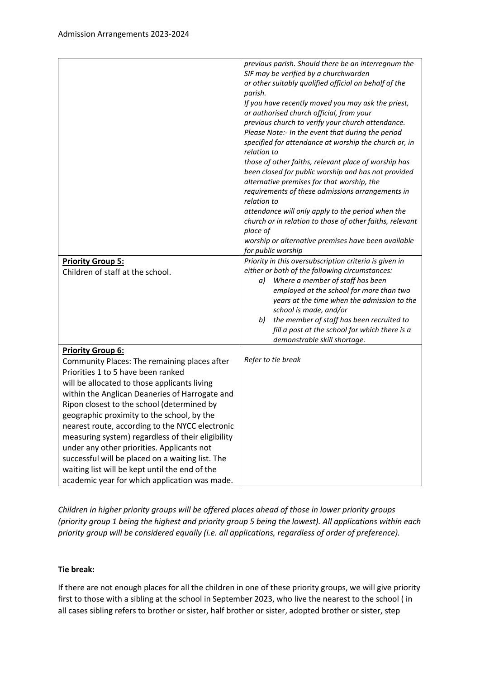|                                                                                                | previous parish. Should there be an interregnum the                       |
|------------------------------------------------------------------------------------------------|---------------------------------------------------------------------------|
|                                                                                                | SIF may be verified by a churchwarden                                     |
|                                                                                                | or other suitably qualified official on behalf of the                     |
|                                                                                                | parish.                                                                   |
|                                                                                                | If you have recently moved you may ask the priest,                        |
|                                                                                                | or authorised church official, from your                                  |
|                                                                                                | previous church to verify your church attendance.                         |
|                                                                                                | Please Note:- In the event that during the period                         |
|                                                                                                | specified for attendance at worship the church or, in                     |
|                                                                                                | relation to                                                               |
|                                                                                                | those of other faiths, relevant place of worship has                      |
|                                                                                                | been closed for public worship and has not provided                       |
|                                                                                                | alternative premises for that worship, the                                |
|                                                                                                | requirements of these admissions arrangements in                          |
|                                                                                                | relation to                                                               |
|                                                                                                | attendance will only apply to the period when the                         |
|                                                                                                | church or in relation to those of other faiths, relevant                  |
|                                                                                                | place of                                                                  |
|                                                                                                | worship or alternative premises have been available                       |
|                                                                                                | for public worship                                                        |
| <b>Priority Group 5:</b>                                                                       | Priority in this oversubscription criteria is given in                    |
| Children of staff at the school.                                                               | either or both of the following circumstances:                            |
|                                                                                                | Where a member of staff has been<br>a)                                    |
|                                                                                                | employed at the school for more than two                                  |
|                                                                                                | years at the time when the admission to the                               |
|                                                                                                | school is made, and/or<br>the member of staff has been recruited to<br>b) |
|                                                                                                | fill a post at the school for which there is a                            |
|                                                                                                | demonstrable skill shortage.                                              |
| <b>Priority Group 6:</b>                                                                       |                                                                           |
| Community Places: The remaining places after                                                   | Refer to tie break                                                        |
| Priorities 1 to 5 have been ranked                                                             |                                                                           |
| will be allocated to those applicants living                                                   |                                                                           |
| within the Anglican Deaneries of Harrogate and                                                 |                                                                           |
| Ripon closest to the school (determined by                                                     |                                                                           |
| geographic proximity to the school, by the                                                     |                                                                           |
| nearest route, according to the NYCC electronic                                                |                                                                           |
| measuring system) regardless of their eligibility                                              |                                                                           |
|                                                                                                |                                                                           |
|                                                                                                |                                                                           |
| waiting list will be kept until the end of the                                                 |                                                                           |
|                                                                                                |                                                                           |
| under any other priorities. Applicants not<br>successful will be placed on a waiting list. The |                                                                           |
| academic year for which application was made.                                                  |                                                                           |

*Children in higher priority groups will be offered places ahead of those in lower priority groups (priority group 1 being the highest and priority group 5 being the lowest). All applications within each priority group will be considered equally (i.e. all applications, regardless of order of preference).*

# **Tie break:**

If there are not enough places for all the children in one of these priority groups, we will give priority first to those with a sibling at the school in September 2023, who live the nearest to the school ( in all cases sibling refers to brother or sister, half brother or sister, adopted brother or sister, step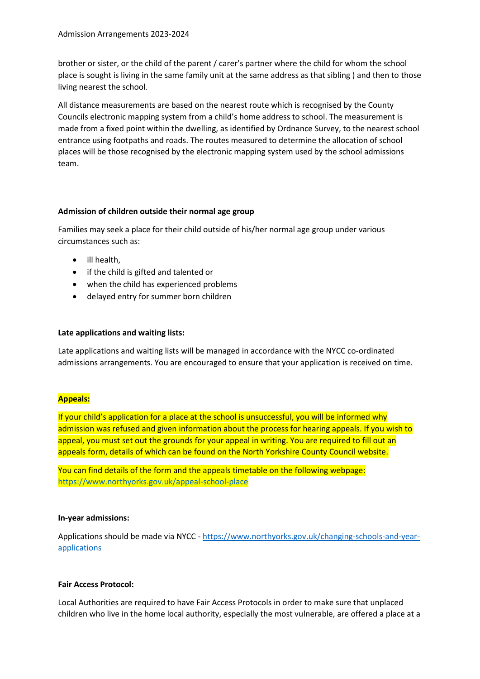brother or sister, or the child of the parent / carer's partner where the child for whom the school place is sought is living in the same family unit at the same address as that sibling ) and then to those living nearest the school.

All distance measurements are based on the nearest route which is recognised by the County Councils electronic mapping system from a child's home address to school. The measurement is made from a fixed point within the dwelling, as identified by Ordnance Survey, to the nearest school entrance using footpaths and roads. The routes measured to determine the allocation of school places will be those recognised by the electronic mapping system used by the school admissions team.

### **Admission of children outside their normal age group**

Families may seek a place for their child outside of his/her normal age group under various circumstances such as:

- ill health,
- if the child is gifted and talented or
- when the child has experienced problems
- delayed entry for summer born children

# **Late applications and waiting lists:**

Late applications and waiting lists will be managed in accordance with the NYCC co-ordinated admissions arrangements. You are encouraged to ensure that your application is received on time.

# **Appeals:**

If your child's application for a place at the school is unsuccessful, you will be informed why admission was refused and given information about the process for hearing appeals. If you wish to appeal, you must set out the grounds for your appeal in writing. You are required to fill out an appeals form, details of which can be found on the North Yorkshire County Council website.

You can find details of the form and the appeals timetable on the following webpage: <https://www.northyorks.gov.uk/appeal-school-place>

### **In-year admissions:**

Applications should be made via NYCC - [https://www.northyorks.gov.uk/changing-schools-and-year](https://www.northyorks.gov.uk/changing-schools-and-year-applications)[applications](https://www.northyorks.gov.uk/changing-schools-and-year-applications) 

### **Fair Access Protocol:**

Local Authorities are required to have Fair Access Protocols in order to make sure that unplaced children who live in the home local authority, especially the most vulnerable, are offered a place at a